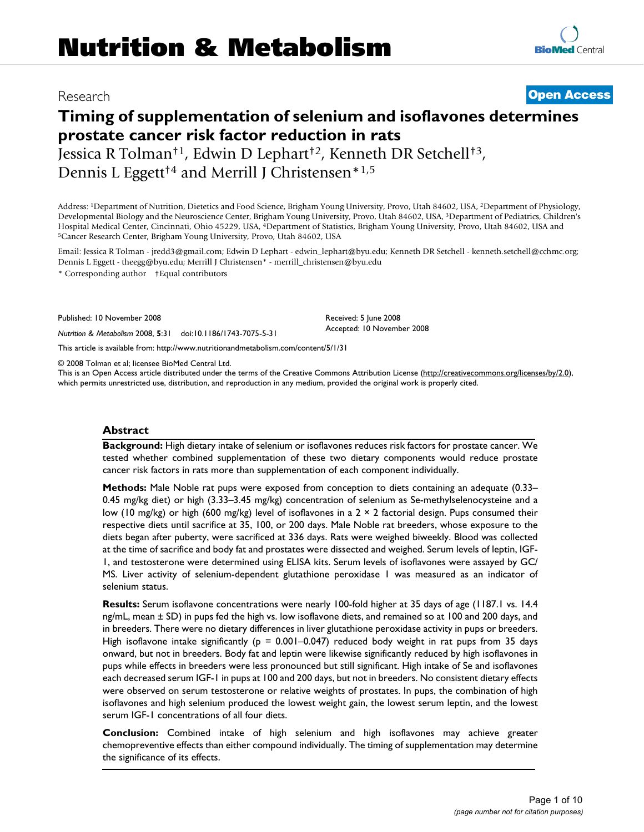# Research **[Open Access](http://www.biomedcentral.com/info/about/charter/)**

# **Timing of supplementation of selenium and isoflavones determines prostate cancer risk factor reduction in rats**

Jessica R Tolman†1, Edwin D Lephart†2, Kenneth DR Setchell†3, Dennis L Eggett<sup>†4</sup> and Merrill J Christensen<sup>\*1,5</sup>

Address: 1Department of Nutrition, Dietetics and Food Science, Brigham Young University, Provo, Utah 84602, USA, 2Department of Physiology, Developmental Biology and the Neuroscience Center, Brigham Young University, Provo, Utah 84602, USA, 3Department of Pediatrics, Children's Hospital Medical Center, Cincinnati, Ohio 45229, USA, <sup>4</sup>Department of Statistics, Brigham Young University, Provo, Utah 84602, USA and <sup>5</sup>Cancer Research Center, Brigham Young University, Provo, Utah 84602, USA

Email: Jessica R Tolman - jredd3@gmail.com; Edwin D Lephart - edwin\_lephart@byu.edu; Kenneth DR Setchell - kenneth.setchell@cchmc.org; Dennis L Eggett - theegg@byu.edu; Merrill J Christensen\* - merrill\_christensen@byu.edu

> Received: 5 June 2008 Accepted: 10 November 2008

\* Corresponding author †Equal contributors

Published: 10 November 2008

*Nutrition & Metabolism* 2008, **5**:31 doi:10.1186/1743-7075-5-31

[This article is available from: http://www.nutritionandmetabolism.com/content/5/1/31](http://www.nutritionandmetabolism.com/content/5/1/31)

© 2008 Tolman et al; licensee BioMed Central Ltd.

This is an Open Access article distributed under the terms of the Creative Commons Attribution License [\(http://creativecommons.org/licenses/by/2.0\)](http://creativecommons.org/licenses/by/2.0), which permits unrestricted use, distribution, and reproduction in any medium, provided the original work is properly cited.

#### **Abstract**

**Background:** High dietary intake of selenium or isoflavones reduces risk factors for prostate cancer. We tested whether combined supplementation of these two dietary components would reduce prostate cancer risk factors in rats more than supplementation of each component individually.

**Methods:** Male Noble rat pups were exposed from conception to diets containing an adequate (0.33– 0.45 mg/kg diet) or high (3.33–3.45 mg/kg) concentration of selenium as Se-methylselenocysteine and a low (10 mg/kg) or high (600 mg/kg) level of isoflavones in a  $2 \times 2$  factorial design. Pups consumed their respective diets until sacrifice at 35, 100, or 200 days. Male Noble rat breeders, whose exposure to the diets began after puberty, were sacrificed at 336 days. Rats were weighed biweekly. Blood was collected at the time of sacrifice and body fat and prostates were dissected and weighed. Serum levels of leptin, IGF-1, and testosterone were determined using ELISA kits. Serum levels of isoflavones were assayed by GC/ MS. Liver activity of selenium-dependent glutathione peroxidase 1 was measured as an indicator of selenium status.

**Results:** Serum isoflavone concentrations were nearly 100-fold higher at 35 days of age (1187.1 vs. 14.4 ng/mL, mean ± SD) in pups fed the high vs. low isoflavone diets, and remained so at 100 and 200 days, and in breeders. There were no dietary differences in liver glutathione peroxidase activity in pups or breeders. High isoflavone intake significantly ( $p = 0.001-0.047$ ) reduced body weight in rat pups from 35 days onward, but not in breeders. Body fat and leptin were likewise significantly reduced by high isoflavones in pups while effects in breeders were less pronounced but still significant. High intake of Se and isoflavones each decreased serum IGF-1 in pups at 100 and 200 days, but not in breeders. No consistent dietary effects were observed on serum testosterone or relative weights of prostates. In pups, the combination of high isoflavones and high selenium produced the lowest weight gain, the lowest serum leptin, and the lowest serum IGF-1 concentrations of all four diets.

**Conclusion:** Combined intake of high selenium and high isoflavones may achieve greater chemopreventive effects than either compound individually. The timing of supplementation may determine the significance of its effects.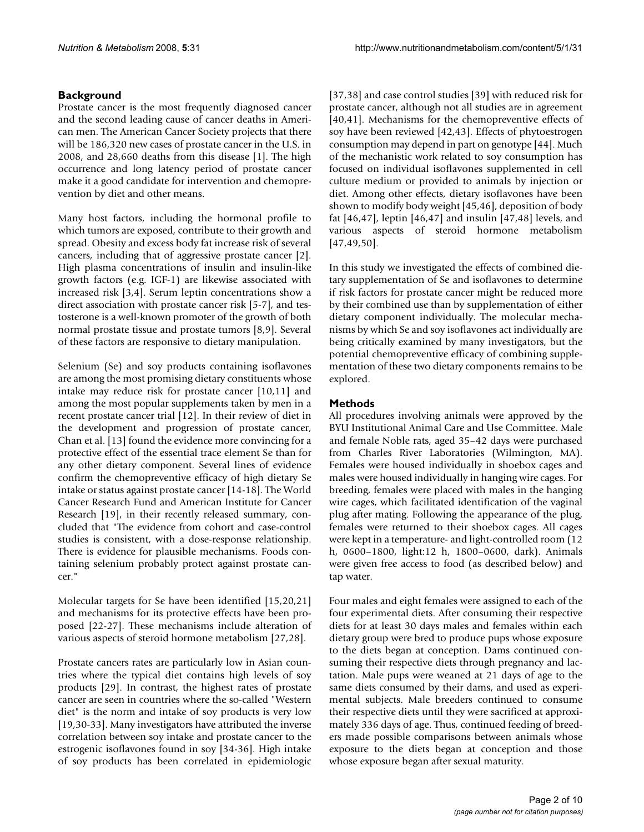# **Background**

Prostate cancer is the most frequently diagnosed cancer and the second leading cause of cancer deaths in American men. The American Cancer Society projects that there will be 186,320 new cases of prostate cancer in the U.S. in 2008, and 28,660 deaths from this disease [1]. The high occurrence and long latency period of prostate cancer make it a good candidate for intervention and chemoprevention by diet and other means.

Many host factors, including the hormonal profile to which tumors are exposed, contribute to their growth and spread. Obesity and excess body fat increase risk of several cancers, including that of aggressive prostate cancer [2]. High plasma concentrations of insulin and insulin-like growth factors (e.g. IGF-1) are likewise associated with increased risk [3,4]. Serum leptin concentrations show a direct association with prostate cancer risk [5-7], and testosterone is a well-known promoter of the growth of both normal prostate tissue and prostate tumors [8,9]. Several of these factors are responsive to dietary manipulation.

Selenium (Se) and soy products containing isoflavones are among the most promising dietary constituents whose intake may reduce risk for prostate cancer [10,11] and among the most popular supplements taken by men in a recent prostate cancer trial [12]. In their review of diet in the development and progression of prostate cancer, Chan et al. [13] found the evidence more convincing for a protective effect of the essential trace element Se than for any other dietary component. Several lines of evidence confirm the chemopreventive efficacy of high dietary Se intake or status against prostate cancer [14-18]. The World Cancer Research Fund and American Institute for Cancer Research [19], in their recently released summary, concluded that "The evidence from cohort and case-control studies is consistent, with a dose-response relationship. There is evidence for plausible mechanisms. Foods containing selenium probably protect against prostate cancer."

Molecular targets for Se have been identified [15,20,21] and mechanisms for its protective effects have been proposed [22-27]. These mechanisms include alteration of various aspects of steroid hormone metabolism [27,28].

Prostate cancers rates are particularly low in Asian countries where the typical diet contains high levels of soy products [29]. In contrast, the highest rates of prostate cancer are seen in countries where the so-called "Western diet" is the norm and intake of soy products is very low [19,30-33]. Many investigators have attributed the inverse correlation between soy intake and prostate cancer to the estrogenic isoflavones found in soy [34-36]. High intake of soy products has been correlated in epidemiologic

[37,38] and case control studies [39] with reduced risk for prostate cancer, although not all studies are in agreement [40,41]. Mechanisms for the chemopreventive effects of soy have been reviewed [42,43]. Effects of phytoestrogen consumption may depend in part on genotype [44]. Much of the mechanistic work related to soy consumption has focused on individual isoflavones supplemented in cell culture medium or provided to animals by injection or diet. Among other effects, dietary isoflavones have been shown to modify body weight [45,46], deposition of body fat [46,47], leptin [46,47] and insulin [47,48] levels, and various aspects of steroid hormone metabolism [47,49,50].

In this study we investigated the effects of combined dietary supplementation of Se and isoflavones to determine if risk factors for prostate cancer might be reduced more by their combined use than by supplementation of either dietary component individually. The molecular mechanisms by which Se and soy isoflavones act individually are being critically examined by many investigators, but the potential chemopreventive efficacy of combining supplementation of these two dietary components remains to be explored.

# **Methods**

All procedures involving animals were approved by the BYU Institutional Animal Care and Use Committee. Male and female Noble rats, aged 35–42 days were purchased from Charles River Laboratories (Wilmington, MA). Females were housed individually in shoebox cages and males were housed individually in hanging wire cages. For breeding, females were placed with males in the hanging wire cages, which facilitated identification of the vaginal plug after mating. Following the appearance of the plug, females were returned to their shoebox cages. All cages were kept in a temperature- and light-controlled room (12 h, 0600–1800, light:12 h, 1800–0600, dark). Animals were given free access to food (as described below) and tap water.

Four males and eight females were assigned to each of the four experimental diets. After consuming their respective diets for at least 30 days males and females within each dietary group were bred to produce pups whose exposure to the diets began at conception. Dams continued consuming their respective diets through pregnancy and lactation. Male pups were weaned at 21 days of age to the same diets consumed by their dams, and used as experimental subjects. Male breeders continued to consume their respective diets until they were sacrificed at approximately 336 days of age. Thus, continued feeding of breeders made possible comparisons between animals whose exposure to the diets began at conception and those whose exposure began after sexual maturity.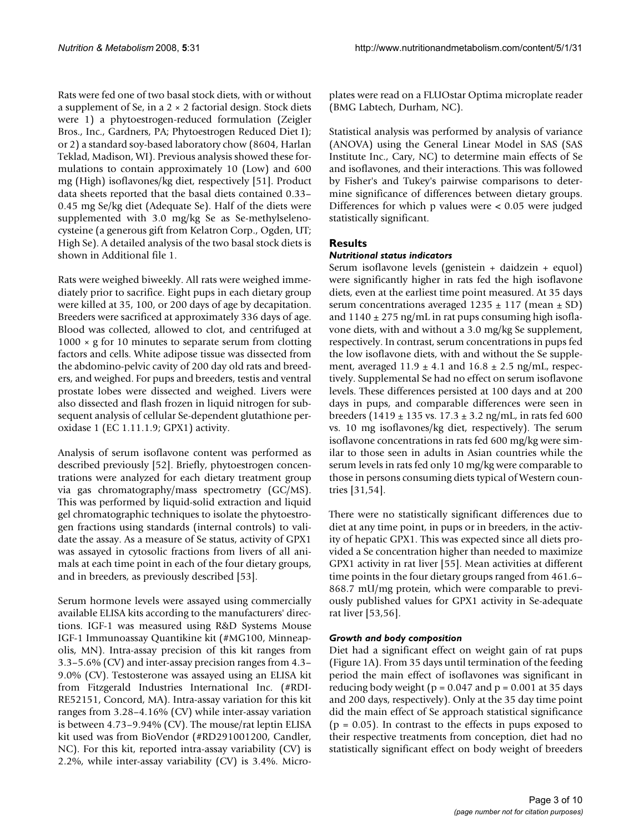Rats were fed one of two basal stock diets, with or without a supplement of Se, in a  $2 \times 2$  factorial design. Stock diets were 1) a phytoestrogen-reduced formulation (Zeigler Bros., Inc., Gardners, PA; Phytoestrogen Reduced Diet I); or 2) a standard soy-based laboratory chow (8604, Harlan Teklad, Madison, WI). Previous analysis showed these formulations to contain approximately 10 (Low) and 600 mg (High) isoflavones/kg diet, respectively [51]. Product data sheets reported that the basal diets contained 0.33– 0.45 mg Se/kg diet (Adequate Se). Half of the diets were supplemented with 3.0 mg/kg Se as Se-methylselenocysteine (a generous gift from Kelatron Corp., Ogden, UT; High Se). A detailed analysis of the two basal stock diets is shown in Additional file 1.

Rats were weighed biweekly. All rats were weighed immediately prior to sacrifice. Eight pups in each dietary group were killed at 35, 100, or 200 days of age by decapitation. Breeders were sacrificed at approximately 336 days of age. Blood was collected, allowed to clot, and centrifuged at  $1000 \times g$  for 10 minutes to separate serum from clotting factors and cells. White adipose tissue was dissected from the abdomino-pelvic cavity of 200 day old rats and breeders, and weighed. For pups and breeders, testis and ventral prostate lobes were dissected and weighed. Livers were also dissected and flash frozen in liquid nitrogen for subsequent analysis of cellular Se-dependent glutathione peroxidase 1 (EC 1.11.1.9; GPX1) activity.

Analysis of serum isoflavone content was performed as described previously [52]. Briefly, phytoestrogen concentrations were analyzed for each dietary treatment group via gas chromatography/mass spectrometry (GC/MS). This was performed by liquid-solid extraction and liquid gel chromatographic techniques to isolate the phytoestrogen fractions using standards (internal controls) to validate the assay. As a measure of Se status, activity of GPX1 was assayed in cytosolic fractions from livers of all animals at each time point in each of the four dietary groups, and in breeders, as previously described [53].

Serum hormone levels were assayed using commercially available ELISA kits according to the manufacturers' directions. IGF-1 was measured using R&D Systems Mouse IGF-1 Immunoassay Quantikine kit (#MG100, Minneapolis, MN). Intra-assay precision of this kit ranges from 3.3–5.6% (CV) and inter-assay precision ranges from 4.3– 9.0% (CV). Testosterone was assayed using an ELISA kit from Fitzgerald Industries International Inc. (#RDI-RE52151, Concord, MA). Intra-assay variation for this kit ranges from 3.28–4.16% (CV) while inter-assay variation is between 4.73–9.94% (CV). The mouse/rat leptin ELISA kit used was from BioVendor (#RD291001200, Candler, NC). For this kit, reported intra-assay variability (CV) is 2.2%, while inter-assay variability (CV) is 3.4%. Microplates were read on a FLUOstar Optima microplate reader (BMG Labtech, Durham, NC).

Statistical analysis was performed by analysis of variance (ANOVA) using the General Linear Model in SAS (SAS Institute Inc., Cary, NC) to determine main effects of Se and isoflavones, and their interactions. This was followed by Fisher's and Tukey's pairwise comparisons to determine significance of differences between dietary groups. Differences for which p values were < 0.05 were judged statistically significant.

# **Results**

#### *Nutritional status indicators*

Serum isoflavone levels (genistein + daidzein + equol) were significantly higher in rats fed the high isoflavone diets, even at the earliest time point measured. At 35 days serum concentrations averaged  $1235 \pm 117$  (mean  $\pm$  SD) and  $1140 \pm 275$  ng/mL in rat pups consuming high isoflavone diets, with and without a 3.0 mg/kg Se supplement, respectively. In contrast, serum concentrations in pups fed the low isoflavone diets, with and without the Se supplement, averaged  $11.9 \pm 4.1$  and  $16.8 \pm 2.5$  ng/mL, respectively. Supplemental Se had no effect on serum isoflavone levels. These differences persisted at 100 days and at 200 days in pups, and comparable differences were seen in breeders ( $1419 \pm 135$  vs.  $17.3 \pm 3.2$  ng/mL, in rats fed 600 vs. 10 mg isoflavones/kg diet, respectively). The serum isoflavone concentrations in rats fed 600 mg/kg were similar to those seen in adults in Asian countries while the serum levels in rats fed only 10 mg/kg were comparable to those in persons consuming diets typical of Western countries [31,54].

There were no statistically significant differences due to diet at any time point, in pups or in breeders, in the activity of hepatic GPX1. This was expected since all diets provided a Se concentration higher than needed to maximize GPX1 activity in rat liver [55]. Mean activities at different time points in the four dietary groups ranged from 461.6– 868.7 mU/mg protein, which were comparable to previously published values for GPX1 activity in Se-adequate rat liver [53,56].

#### *Growth and body composition*

Diet had a significant effect on weight gain of rat pups (Figure 1A). From 35 days until termination of the feeding period the main effect of isoflavones was significant in reducing body weight ( $p = 0.047$  and  $p = 0.001$  at 35 days and 200 days, respectively). Only at the 35 day time point did the main effect of Se approach statistical significance  $(p = 0.05)$ . In contrast to the effects in pups exposed to their respective treatments from conception, diet had no statistically significant effect on body weight of breeders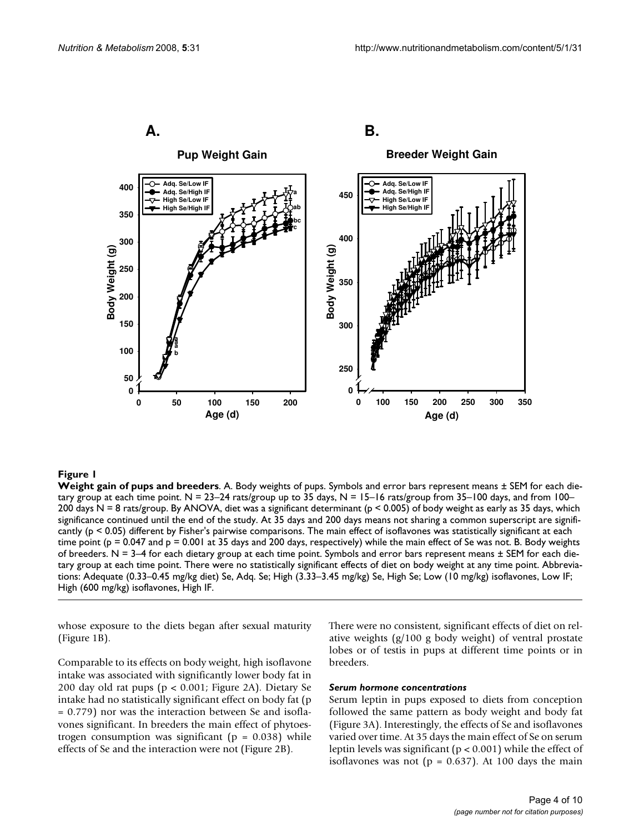

**Weight gain of pups and breeders**. A. Body weights of pups. Symbols and error bars represent means ± SEM for each dietary group at each time point.  $N = 23-24$  rats/group up to 35 days,  $N = 15-16$  rats/group from 35-100 days, and from 100-200 days N = 8 rats/group. By ANOVA, diet was a significant determinant (p < 0.005) of body weight as early as 35 days, which significance continued until the end of the study. At 35 days and 200 days means not sharing a common superscript are significantly (p < 0.05) different by Fisher's pairwise comparisons. The main effect of isoflavones was statistically significant at each time point ( $p = 0.047$  and  $p = 0.001$  at 35 days and 200 days, respectively) while the main effect of Se was not. B. Body weights of breeders.  $N = 3-4$  for each dietary group at each time point. Symbols and error bars represent means  $\pm$  SEM for each dietary group at each time point. There were no statistically significant effects of diet on body weight at any time point. Abbreviations: Adequate (0.33–0.45 mg/kg diet) Se, Adq. Se; High (3.33–3.45 mg/kg) Se, High Se; Low (10 mg/kg) isoflavones, Low IF; High (600 mg/kg) isoflavones, High IF.

whose exposure to the diets began after sexual maturity (Figure 1B).

Comparable to its effects on body weight, high isoflavone intake was associated with significantly lower body fat in 200 day old rat pups (p < 0.001; Figure 2A). Dietary Se intake had no statistically significant effect on body fat (p = 0.779) nor was the interaction between Se and isoflavones significant. In breeders the main effect of phytoestrogen consumption was significant ( $p = 0.038$ ) while effects of Se and the interaction were not (Figure 2B).

There were no consistent, significant effects of diet on relative weights (g/100 g body weight) of ventral prostate lobes or of testis in pups at different time points or in breeders.

#### *Serum hormone concentrations*

Serum leptin in pups exposed to diets from conception followed the same pattern as body weight and body fat (Figure 3A). Interestingly, the effects of Se and isoflavones varied over time. At 35 days the main effect of Se on serum leptin levels was significant (p < 0.001) while the effect of isoflavones was not ( $p = 0.637$ ). At 100 days the main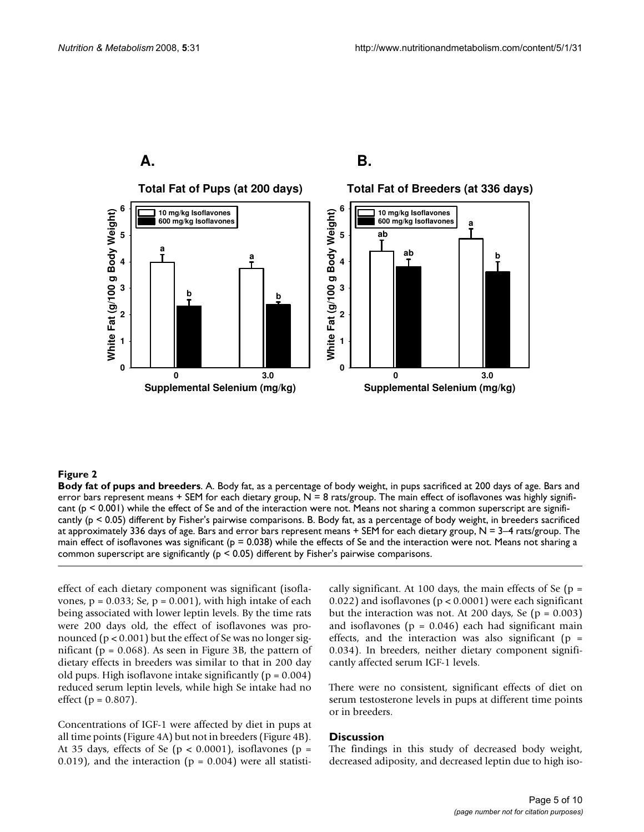

**Body fat of pups and breeders**. A. Body fat, as a percentage of body weight, in pups sacrificed at 200 days of age. Bars and error bars represent means + SEM for each dietary group,  $N = 8$  rats/group. The main effect of isoflavones was highly significant (p < 0.001) while the effect of Se and of the interaction were not. Means not sharing a common superscript are significantly (p < 0.05) different by Fisher's pairwise comparisons. B. Body fat, as a percentage of body weight, in breeders sacrificed at approximately 336 days of age. Bars and error bars represent means  $+$  SEM for each dietary group,  $N = 3-4$  rats/group. The main effect of isoflavones was significant ( $p = 0.038$ ) while the effects of Se and the interaction were not. Means not sharing a common superscript are significantly ( $p < 0.05$ ) different by Fisher's pairwise comparisons.

effect of each dietary component was significant (isoflavones,  $p = 0.033$ ; Se,  $p = 0.001$ ), with high intake of each being associated with lower leptin levels. By the time rats were 200 days old, the effect of isoflavones was pronounced (p < 0.001) but the effect of Se was no longer significant ( $p = 0.068$ ). As seen in Figure 3B, the pattern of dietary effects in breeders was similar to that in 200 day old pups. High isoflavone intake significantly ( $p = 0.004$ ) reduced serum leptin levels, while high Se intake had no effect ( $p = 0.807$ ).

Concentrations of IGF-1 were affected by diet in pups at all time points (Figure 4A) but not in breeders (Figure 4B). At 35 days, effects of Se ( $p < 0.0001$ ), isoflavones ( $p =$ 0.019), and the interaction ( $p = 0.004$ ) were all statistically significant. At 100 days, the main effects of Se  $(p =$ 0.022) and isoflavones ( $p < 0.0001$ ) were each significant but the interaction was not. At 200 days, Se ( $p = 0.003$ ) and isoflavones ( $p = 0.046$ ) each had significant main effects, and the interaction was also significant ( $p =$ 0.034). In breeders, neither dietary component significantly affected serum IGF-1 levels.

There were no consistent, significant effects of diet on serum testosterone levels in pups at different time points or in breeders.

#### **Discussion**

The findings in this study of decreased body weight, decreased adiposity, and decreased leptin due to high iso-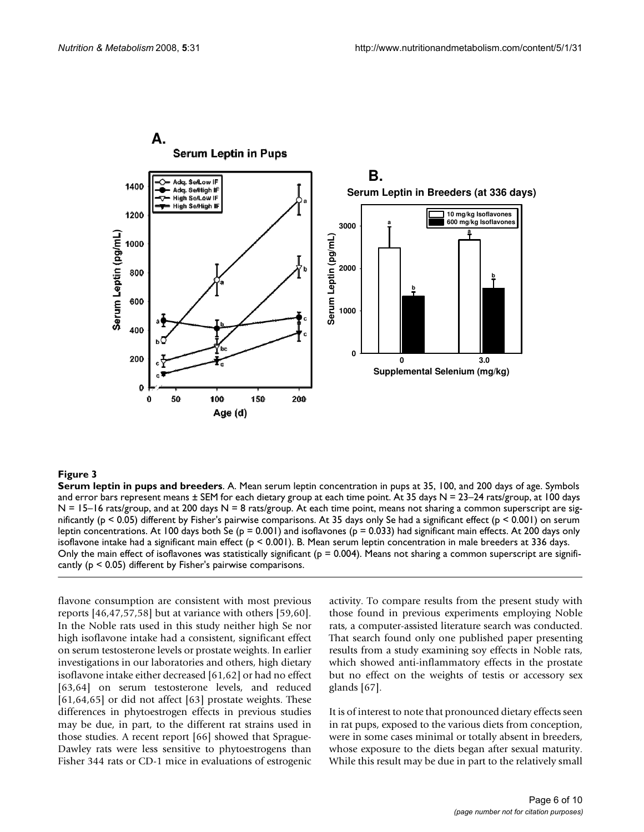

**Serum leptin in pups and breeders**. A. Mean serum leptin concentration in pups at 35, 100, and 200 days of age. Symbols and error bars represent means  $\pm$  SEM for each dietary group at each time point. At 35 days N = 23–24 rats/group, at 100 days  $N = 15-16$  rats/group, and at 200 days  $N = 8$  rats/group. At each time point, means not sharing a common superscript are significantly (p < 0.05) different by Fisher's pairwise comparisons. At 35 days only Se had a significant effect (p < 0.001) on serum leptin concentrations. At 100 days both Se ( $p = 0.001$ ) and isoflavones ( $p = 0.033$ ) had significant main effects. At 200 days only isoflavone intake had a significant main effect ( $p < 0.001$ ). B. Mean serum leptin concentration in male breeders at 336 days. Only the main effect of isoflavones was statistically significant ( $p = 0.004$ ). Means not sharing a common superscript are significantly ( $p < 0.05$ ) different by Fisher's pairwise comparisons.

flavone consumption are consistent with most previous reports [46,47,57,58] but at variance with others [59,60]. In the Noble rats used in this study neither high Se nor high isoflavone intake had a consistent, significant effect on serum testosterone levels or prostate weights. In earlier investigations in our laboratories and others, high dietary isoflavone intake either decreased [61,62] or had no effect [63,64] on serum testosterone levels, and reduced [61,64,65] or did not affect [63] prostate weights. These differences in phytoestrogen effects in previous studies may be due, in part, to the different rat strains used in those studies. A recent report [66] showed that Sprague-Dawley rats were less sensitive to phytoestrogens than Fisher 344 rats or CD-1 mice in evaluations of estrogenic activity. To compare results from the present study with those found in previous experiments employing Noble rats, a computer-assisted literature search was conducted. That search found only one published paper presenting results from a study examining soy effects in Noble rats, which showed anti-inflammatory effects in the prostate but no effect on the weights of testis or accessory sex glands [67].

It is of interest to note that pronounced dietary effects seen in rat pups, exposed to the various diets from conception, were in some cases minimal or totally absent in breeders, whose exposure to the diets began after sexual maturity. While this result may be due in part to the relatively small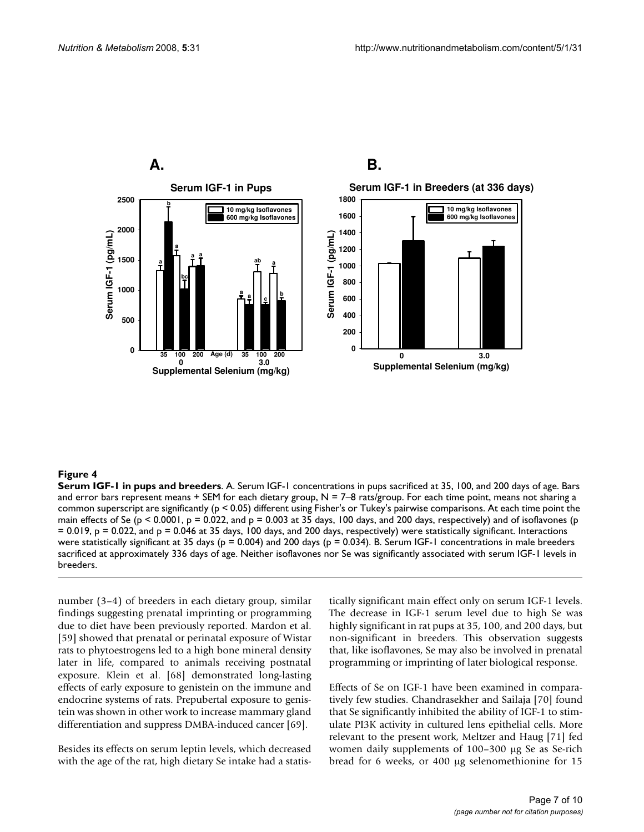

**Serum IGF-1 in pups and breeders**. A. Serum IGF-1 concentrations in pups sacrificed at 35, 100, and 200 days of age. Bars and error bars represent means + SEM for each dietary group,  $N = 7-8$  rats/group. For each time point, means not sharing a common superscript are significantly (p < 0.05) different using Fisher's or Tukey's pairwise comparisons. At each time point the main effects of Se ( $p < 0.0001$ ,  $p = 0.022$ , and  $p = 0.003$  at 35 days, 100 days, and 200 days, respectively) and of isoflavones ( $p$  $= 0.019$ ,  $p = 0.022$ , and  $p = 0.046$  at 35 days, 100 days, and 200 days, respectively) were statistically significant. Interactions were statistically significant at 35 days ( $p = 0.004$ ) and 200 days ( $p = 0.034$ ). B. Serum IGF-1 concentrations in male breeders sacrificed at approximately 336 days of age. Neither isoflavones nor Se was significantly associated with serum IGF-1 levels in breeders.

number (3–4) of breeders in each dietary group, similar findings suggesting prenatal imprinting or programming due to diet have been previously reported. Mardon et al. [59] showed that prenatal or perinatal exposure of Wistar rats to phytoestrogens led to a high bone mineral density later in life, compared to animals receiving postnatal exposure. Klein et al. [68] demonstrated long-lasting effects of early exposure to genistein on the immune and endocrine systems of rats. Prepubertal exposure to genistein was shown in other work to increase mammary gland differentiation and suppress DMBA-induced cancer [69].

Besides its effects on serum leptin levels, which decreased with the age of the rat, high dietary Se intake had a statistically significant main effect only on serum IGF-1 levels. The decrease in IGF-1 serum level due to high Se was highly significant in rat pups at 35, 100, and 200 days, but non-significant in breeders. This observation suggests that, like isoflavones, Se may also be involved in prenatal programming or imprinting of later biological response.

Effects of Se on IGF-1 have been examined in comparatively few studies. Chandrasekher and Sailaja [70] found that Se significantly inhibited the ability of IGF-1 to stimulate PI3K activity in cultured lens epithelial cells. More relevant to the present work, Meltzer and Haug [71] fed women daily supplements of 100–300 μg Se as Se-rich bread for 6 weeks, or 400 μg selenomethionine for 15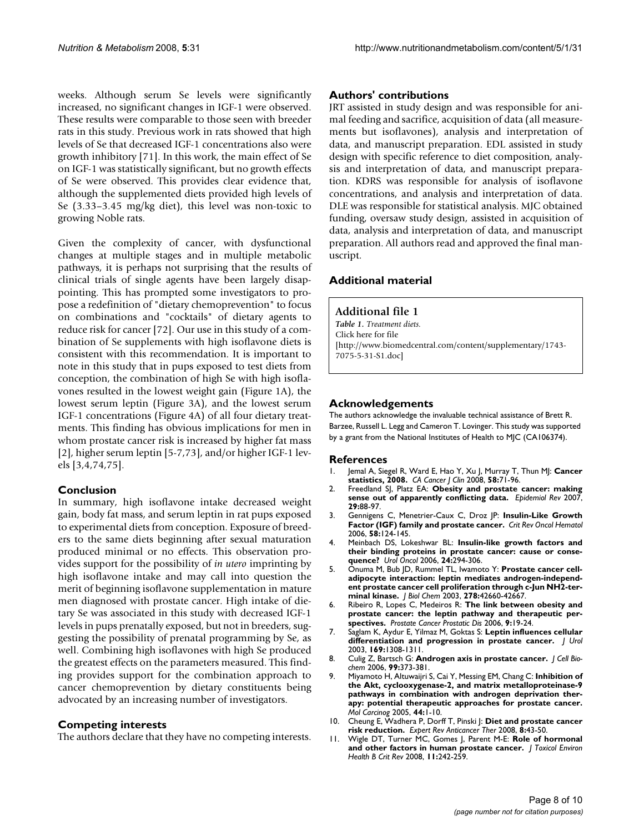weeks. Although serum Se levels were significantly increased, no significant changes in IGF-1 were observed. These results were comparable to those seen with breeder rats in this study. Previous work in rats showed that high levels of Se that decreased IGF-1 concentrations also were growth inhibitory [71]. In this work, the main effect of Se on IGF-1 was statistically significant, but no growth effects of Se were observed. This provides clear evidence that, although the supplemented diets provided high levels of Se (3.33–3.45 mg/kg diet), this level was non-toxic to growing Noble rats.

Given the complexity of cancer, with dysfunctional changes at multiple stages and in multiple metabolic pathways, it is perhaps not surprising that the results of clinical trials of single agents have been largely disappointing. This has prompted some investigators to propose a redefinition of "dietary chemoprevention" to focus on combinations and "cocktails" of dietary agents to reduce risk for cancer [72]. Our use in this study of a combination of Se supplements with high isoflavone diets is consistent with this recommendation. It is important to note in this study that in pups exposed to test diets from conception, the combination of high Se with high isoflavones resulted in the lowest weight gain (Figure 1A), the lowest serum leptin (Figure 3A), and the lowest serum IGF-1 concentrations (Figure 4A) of all four dietary treatments. This finding has obvious implications for men in whom prostate cancer risk is increased by higher fat mass [2], higher serum leptin [5-7,73], and/or higher IGF-1 levels [3,4,74,75].

# **Conclusion**

In summary, high isoflavone intake decreased weight gain, body fat mass, and serum leptin in rat pups exposed to experimental diets from conception. Exposure of breeders to the same diets beginning after sexual maturation produced minimal or no effects. This observation provides support for the possibility of *in utero* imprinting by high isoflavone intake and may call into question the merit of beginning isoflavone supplementation in mature men diagnosed with prostate cancer. High intake of dietary Se was associated in this study with decreased IGF-1 levels in pups prenatally exposed, but not in breeders, suggesting the possibility of prenatal programming by Se, as well. Combining high isoflavones with high Se produced the greatest effects on the parameters measured. This finding provides support for the combination approach to cancer chemoprevention by dietary constituents being advocated by an increasing number of investigators.

# **Competing interests**

The authors declare that they have no competing interests.

### **Authors' contributions**

JRT assisted in study design and was responsible for animal feeding and sacrifice, acquisition of data (all measurements but isoflavones), analysis and interpretation of data, and manuscript preparation. EDL assisted in study design with specific reference to diet composition, analysis and interpretation of data, and manuscript preparation. KDRS was responsible for analysis of isoflavone concentrations, and analysis and interpretation of data. DLE was responsible for statistical analysis. MJC obtained funding, oversaw study design, assisted in acquisition of data, analysis and interpretation of data, and manuscript preparation. All authors read and approved the final manuscript.

# **Additional material**

#### **Additional file 1**

*Table 1. Treatment diets.* Click here for file [\[http://www.biomedcentral.com/content/supplementary/1743-](http://www.biomedcentral.com/content/supplementary/1743-7075-5-31-S1.doc) 7075-5-31-S1.doc]

### **Acknowledgements**

The authors acknowledge the invaluable technical assistance of Brett R. Barzee, Russell L. Legg and Cameron T. Lovinger. This study was supported by a grant from the National Institutes of Health to MJC (CA106374).

#### **References**

- 1. Jemal A, Siegel R, Ward E, Hao Y, Xu J, Murray T, Thun MJ: **[Cancer](http://www.ncbi.nlm.nih.gov/entrez/query.fcgi?cmd=Retrieve&db=PubMed&dopt=Abstract&list_uids=18287387) [statistics, 2008.](http://www.ncbi.nlm.nih.gov/entrez/query.fcgi?cmd=Retrieve&db=PubMed&dopt=Abstract&list_uids=18287387)** *CA Cancer J Clin* 2008, **58:**71-96.
- 2. Freedland SJ, Platz EA: **[Obesity and prostate cancer: making](http://www.ncbi.nlm.nih.gov/entrez/query.fcgi?cmd=Retrieve&db=PubMed&dopt=Abstract&list_uids=17478439) [sense out of apparently conflicting data.](http://www.ncbi.nlm.nih.gov/entrez/query.fcgi?cmd=Retrieve&db=PubMed&dopt=Abstract&list_uids=17478439)** *Epidemiol Rev* 2007, **29:**88-97.
- 3. Gennigens C, Menetrier-Caux C, Droz JP: **[Insulin-Like Growth](http://www.ncbi.nlm.nih.gov/entrez/query.fcgi?cmd=Retrieve&db=PubMed&dopt=Abstract&list_uids=16387509) [Factor \(IGF\) family and prostate cancer.](http://www.ncbi.nlm.nih.gov/entrez/query.fcgi?cmd=Retrieve&db=PubMed&dopt=Abstract&list_uids=16387509)** *Crit Rev Oncol Hematol* 2006, **58:**124-145.
- 4. Meinbach DS, Lokeshwar BL: **[Insulin-like growth factors and](http://www.ncbi.nlm.nih.gov/entrez/query.fcgi?cmd=Retrieve&db=PubMed&dopt=Abstract&list_uids=16818181) [their binding proteins in prostate cancer: cause or conse](http://www.ncbi.nlm.nih.gov/entrez/query.fcgi?cmd=Retrieve&db=PubMed&dopt=Abstract&list_uids=16818181)[quence?](http://www.ncbi.nlm.nih.gov/entrez/query.fcgi?cmd=Retrieve&db=PubMed&dopt=Abstract&list_uids=16818181)** *Urol Oncol* 2006, **24:**294-306.
- 5. Onuma M, Bub JD, Rummel TL, Iwamoto Y: **[Prostate cancer cell](http://www.ncbi.nlm.nih.gov/entrez/query.fcgi?cmd=Retrieve&db=PubMed&dopt=Abstract&list_uids=12902351)[adipocyte interaction: leptin mediates androgen-independ](http://www.ncbi.nlm.nih.gov/entrez/query.fcgi?cmd=Retrieve&db=PubMed&dopt=Abstract&list_uids=12902351)ent prostate cancer cell proliferation through c-Jun NH2-ter[minal kinase.](http://www.ncbi.nlm.nih.gov/entrez/query.fcgi?cmd=Retrieve&db=PubMed&dopt=Abstract&list_uids=12902351)** *J Biol Chem* 2003, **278:**42660-42667.
- 6. Ribeiro R, Lopes C, Medeiros R: **[The link between obesity and](http://www.ncbi.nlm.nih.gov/entrez/query.fcgi?cmd=Retrieve&db=PubMed&dopt=Abstract&list_uids=16344847) [prostate cancer: the leptin pathway and therapeutic per](http://www.ncbi.nlm.nih.gov/entrez/query.fcgi?cmd=Retrieve&db=PubMed&dopt=Abstract&list_uids=16344847)[spectives.](http://www.ncbi.nlm.nih.gov/entrez/query.fcgi?cmd=Retrieve&db=PubMed&dopt=Abstract&list_uids=16344847)** *Prostate Cancer Prostatic Dis* 2006, **9:**19-24.
- 7. Saglam K, Aydur E, Yilmaz M, Goktas S: **[Leptin influences cellular](http://www.ncbi.nlm.nih.gov/entrez/query.fcgi?cmd=Retrieve&db=PubMed&dopt=Abstract&list_uids=12629349) [differentiation and progression in prostate cancer.](http://www.ncbi.nlm.nih.gov/entrez/query.fcgi?cmd=Retrieve&db=PubMed&dopt=Abstract&list_uids=12629349)** *J Urol* 2003, **169:**1308-1311.
- 8. Culig Z, Bartsch G: **[Androgen axis in prostate cancer.](http://www.ncbi.nlm.nih.gov/entrez/query.fcgi?cmd=Retrieve&db=PubMed&dopt=Abstract&list_uids=16598769)** *J Cell Biochem* 2006, **99:**373-381.
- 9. Miyamoto H, Altuwaijri S, Cai Y, Messing EM, Chang C: **[Inhibition of](http://www.ncbi.nlm.nih.gov/entrez/query.fcgi?cmd=Retrieve&db=PubMed&dopt=Abstract&list_uids=16044418) [the Akt, cyclooxygenase-2, and matrix metalloproteinase-9](http://www.ncbi.nlm.nih.gov/entrez/query.fcgi?cmd=Retrieve&db=PubMed&dopt=Abstract&list_uids=16044418) pathways in combination with androgen deprivation therapy: potential therapeutic approaches for prostate cancer.** *Mol Carcinog* 2005, **44:**1-10.
- 10. Cheung E, Wadhera P, Dorff T, Pinski J: **[Diet and prostate cancer](http://www.ncbi.nlm.nih.gov/entrez/query.fcgi?cmd=Retrieve&db=PubMed&dopt=Abstract&list_uids=18095882) [risk reduction.](http://www.ncbi.nlm.nih.gov/entrez/query.fcgi?cmd=Retrieve&db=PubMed&dopt=Abstract&list_uids=18095882)** *Expert Rev Anticancer Ther* 2008, **8:**43-50.
- 11. Wigle DT, Turner MC, Gomes J, Parent M-E: **[Role of hormonal](http://www.ncbi.nlm.nih.gov/entrez/query.fcgi?cmd=Retrieve&db=PubMed&dopt=Abstract&list_uids=18368555) [and other factors in human prostate cancer.](http://www.ncbi.nlm.nih.gov/entrez/query.fcgi?cmd=Retrieve&db=PubMed&dopt=Abstract&list_uids=18368555)** *J Toxicol Environ Health B Crit Rev* 2008, **11:**242-259.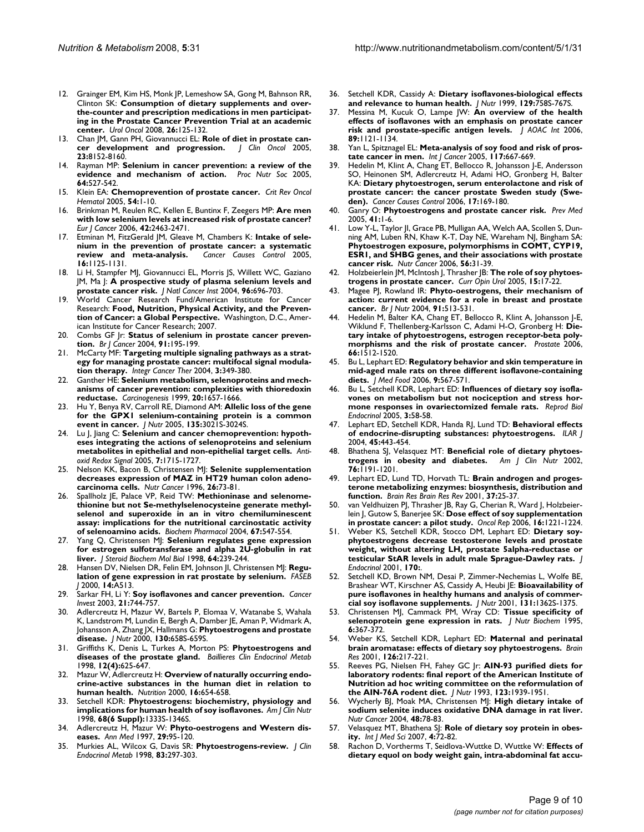- 12. Grainger EM, Kim HS, Monk JP, Lemeshow SA, Gong M, Bahnson RR, Clinton SK: **[Consumption of dietary supplements and over](http://www.ncbi.nlm.nih.gov/entrez/query.fcgi?cmd=Retrieve&db=PubMed&dopt=Abstract&list_uids=18312929)[the-counter and prescription medications in men participat](http://www.ncbi.nlm.nih.gov/entrez/query.fcgi?cmd=Retrieve&db=PubMed&dopt=Abstract&list_uids=18312929)ing in the Prostate Cancer Prevention Trial at an academic [center.](http://www.ncbi.nlm.nih.gov/entrez/query.fcgi?cmd=Retrieve&db=PubMed&dopt=Abstract&list_uids=18312929)** *Urol Oncol* 2008, **26:**125-132.
- 13. Chan JM, Gann PH, Giovannucci EL: **[Role of diet in prostate can](http://www.ncbi.nlm.nih.gov/entrez/query.fcgi?cmd=Retrieve&db=PubMed&dopt=Abstract&list_uids=16278466)[cer development and progression.](http://www.ncbi.nlm.nih.gov/entrez/query.fcgi?cmd=Retrieve&db=PubMed&dopt=Abstract&list_uids=16278466)** *J Clin Oncol* 2005, **23:**8152-8160.
- 14. Rayman MP: **[Selenium in cancer prevention: a review of the](http://www.ncbi.nlm.nih.gov/entrez/query.fcgi?cmd=Retrieve&db=PubMed&dopt=Abstract&list_uids=16313696) [evidence and mechanism of action.](http://www.ncbi.nlm.nih.gov/entrez/query.fcgi?cmd=Retrieve&db=PubMed&dopt=Abstract&list_uids=16313696)** *Proc Nutr Soc* 2005, **64:**527-542.
- 15. Klein EA: **[Chemoprevention of prostate cancer.](http://www.ncbi.nlm.nih.gov/entrez/query.fcgi?cmd=Retrieve&db=PubMed&dopt=Abstract&list_uids=15780904)** *Crit Rev Oncol Hematol* 2005, **54:**1-10.
- 16. Brinkman M, Reulen RC, Kellen E, Buntinx F, Zeegers MP: **[Are men](http://www.ncbi.nlm.nih.gov/entrez/query.fcgi?cmd=Retrieve&db=PubMed&dopt=Abstract&list_uids=16945521) [with low selenium levels at increased risk of prostate cancer?](http://www.ncbi.nlm.nih.gov/entrez/query.fcgi?cmd=Retrieve&db=PubMed&dopt=Abstract&list_uids=16945521)** *Eur J Cancer* 2006, **42:**2463-2471.
- 17. Etminan M, FitzGerald JM, Gleave M, Chambers K: **[Intake of sele](http://www.ncbi.nlm.nih.gov/entrez/query.fcgi?cmd=Retrieve&db=PubMed&dopt=Abstract&list_uids=16184479)[nium in the prevention of prostate cancer: a systematic](http://www.ncbi.nlm.nih.gov/entrez/query.fcgi?cmd=Retrieve&db=PubMed&dopt=Abstract&list_uids=16184479) [review and meta-analysis.](http://www.ncbi.nlm.nih.gov/entrez/query.fcgi?cmd=Retrieve&db=PubMed&dopt=Abstract&list_uids=16184479)** *Cancer Causes Control* 2005, **16:**1125-1131.
- 18. Li H, Stampfer MJ, Giovannucci EL, Morris JS, Willett WC, Gaziano JM, Ma J: **[A prospective study of plasma selenium levels and](http://www.ncbi.nlm.nih.gov/entrez/query.fcgi?cmd=Retrieve&db=PubMed&dopt=Abstract&list_uids=15126606) [prostate cancer risk.](http://www.ncbi.nlm.nih.gov/entrez/query.fcgi?cmd=Retrieve&db=PubMed&dopt=Abstract&list_uids=15126606)** *J Natl Cancer Inst* 2004, **96:**696-703.
- 19. World Cancer Research Fund/American Institute for Cancer Research: **Food, Nutrition, Physical Activity, and the Prevention of Cancer: a Global Perspective.** Washington, D.C., American Institute for Cancer Research; 2007.
- 20. Combs GF Jr: **[Status of selenium in prostate cancer preven](http://www.ncbi.nlm.nih.gov/entrez/query.fcgi?cmd=Retrieve&db=PubMed&dopt=Abstract&list_uids=15213714)[tion.](http://www.ncbi.nlm.nih.gov/entrez/query.fcgi?cmd=Retrieve&db=PubMed&dopt=Abstract&list_uids=15213714)** *Br J Cancer* 2004, **91:**195-199.
- 21. McCarty MF: **[Targeting multiple signaling pathways as a strat](http://www.ncbi.nlm.nih.gov/entrez/query.fcgi?cmd=Retrieve&db=PubMed&dopt=Abstract&list_uids=15523106)[egy for managing prostate cancer: multifocal signal modula](http://www.ncbi.nlm.nih.gov/entrez/query.fcgi?cmd=Retrieve&db=PubMed&dopt=Abstract&list_uids=15523106)[tion therapy.](http://www.ncbi.nlm.nih.gov/entrez/query.fcgi?cmd=Retrieve&db=PubMed&dopt=Abstract&list_uids=15523106)** *Integr Cancer Ther* 2004, **3:**349-380.
- 22. Ganther HE: **[Selenium metabolism, selenoproteins and mech](http://www.ncbi.nlm.nih.gov/entrez/query.fcgi?cmd=Retrieve&db=PubMed&dopt=Abstract&list_uids=10469608)[anisms of cancer prevention: complexities with thioredoxin](http://www.ncbi.nlm.nih.gov/entrez/query.fcgi?cmd=Retrieve&db=PubMed&dopt=Abstract&list_uids=10469608) [reductase.](http://www.ncbi.nlm.nih.gov/entrez/query.fcgi?cmd=Retrieve&db=PubMed&dopt=Abstract&list_uids=10469608)** *Carcinogenesis* 1999, **20:**1657-1666.
- 23. Hu Y, Benya RV, Carroll RE, Diamond AM: **[Allelic loss of the gene](http://www.ncbi.nlm.nih.gov/entrez/query.fcgi?cmd=Retrieve&db=PubMed&dopt=Abstract&list_uids=16317164) [for the GPX1 selenium-containing protein is a common](http://www.ncbi.nlm.nih.gov/entrez/query.fcgi?cmd=Retrieve&db=PubMed&dopt=Abstract&list_uids=16317164) [event in cancer.](http://www.ncbi.nlm.nih.gov/entrez/query.fcgi?cmd=Retrieve&db=PubMed&dopt=Abstract&list_uids=16317164)** *J Nutr* 2005, **135:**3021S-3024S.
- 24. Lu J, Jiang C: **[Selenium and cancer chemoprevention: hypoth](http://www.ncbi.nlm.nih.gov/entrez/query.fcgi?cmd=Retrieve&db=PubMed&dopt=Abstract&list_uids=16356132)[eses integrating the actions of selenoproteins and selenium](http://www.ncbi.nlm.nih.gov/entrez/query.fcgi?cmd=Retrieve&db=PubMed&dopt=Abstract&list_uids=16356132) [metabolites in epithelial and non-epithelial target cells.](http://www.ncbi.nlm.nih.gov/entrez/query.fcgi?cmd=Retrieve&db=PubMed&dopt=Abstract&list_uids=16356132)** *Antioxid Redox Signal* 2005, **7:**1715-1727.
- 25. Nelson KK, Bacon B, Christensen MJ: **[Selenite supplementation](http://www.ncbi.nlm.nih.gov/entrez/query.fcgi?cmd=Retrieve&db=PubMed&dopt=Abstract&list_uids=8844723) [decreases expression of MAZ in HT29 human colon adeno](http://www.ncbi.nlm.nih.gov/entrez/query.fcgi?cmd=Retrieve&db=PubMed&dopt=Abstract&list_uids=8844723)[carcinoma cells.](http://www.ncbi.nlm.nih.gov/entrez/query.fcgi?cmd=Retrieve&db=PubMed&dopt=Abstract&list_uids=8844723)** *Nutr Cancer* 1996, **26:**73-81.
- 26. Spallholz JE, Palace VP, Reid TW: [Methioninase and selenome](http://www.ncbi.nlm.nih.gov/entrez/query.fcgi?cmd=Retrieve&db=PubMed&dopt=Abstract&list_uids=15037206)**[thionine but not Se-methylselenocysteine generate methyl](http://www.ncbi.nlm.nih.gov/entrez/query.fcgi?cmd=Retrieve&db=PubMed&dopt=Abstract&list_uids=15037206)selenol and superoxide in an in vitro chemiluminescent assay: implications for the nutritional carcinostatic activity [of selenoamino acids.](http://www.ncbi.nlm.nih.gov/entrez/query.fcgi?cmd=Retrieve&db=PubMed&dopt=Abstract&list_uids=15037206)** *Biochem Pharmacol* 2004, **67:**547-554.
- 27. Yang Q, Christensen MJ: **[Selenium regulates gene expression](http://www.ncbi.nlm.nih.gov/entrez/query.fcgi?cmd=Retrieve&db=PubMed&dopt=Abstract&list_uids=9618024) [for estrogen sulfotransferase and alpha 2U-globulin in rat](http://www.ncbi.nlm.nih.gov/entrez/query.fcgi?cmd=Retrieve&db=PubMed&dopt=Abstract&list_uids=9618024) [liver.](http://www.ncbi.nlm.nih.gov/entrez/query.fcgi?cmd=Retrieve&db=PubMed&dopt=Abstract&list_uids=9618024)** *J Steroid Biochem Mol Biol* 1998, **64:**239-244.
- 28. Hansen DV, Nielsen DR, Felin EM, Johnson JI, Christensen MJ: **Regulation of gene expression in rat prostate by selenium.** *FASEB J* 2000, **14:**A513.
- 29. Sarkar FH, Li Y: **[Soy isoflavones and cancer prevention.](http://www.ncbi.nlm.nih.gov/entrez/query.fcgi?cmd=Retrieve&db=PubMed&dopt=Abstract&list_uids=14628433)** *Cancer Invest* 2003, **21:**744-757.
- 30. Adlercreutz H, Mazur W, Bartels P, Elomaa V, Watanabe S, Wahala K, Landstrom M, Lundin E, Bergh A, Damber JE, Aman P, Widmark A, Johansson A, Zhang JX, Hallmans G: **[Phytoestrogens and prostate](http://www.ncbi.nlm.nih.gov/entrez/query.fcgi?cmd=Retrieve&db=PubMed&dopt=Abstract&list_uids=10702603) [disease.](http://www.ncbi.nlm.nih.gov/entrez/query.fcgi?cmd=Retrieve&db=PubMed&dopt=Abstract&list_uids=10702603)** *J Nutr* 2000, **130:**658S-659S.
- 31. Griffiths K, Denis L, Turkes A, Morton PS: **[Phytoestrogens and](http://www.ncbi.nlm.nih.gov/entrez/query.fcgi?cmd=Retrieve&db=PubMed&dopt=Abstract&list_uids=10384817) [diseases of the prostate gland.](http://www.ncbi.nlm.nih.gov/entrez/query.fcgi?cmd=Retrieve&db=PubMed&dopt=Abstract&list_uids=10384817)** *Baillieres Clin Endocrinol Metab* 1998, **12(4):**625-647.
- 32. Mazur W, Adlercreutz H: **[Overview of naturally occurring endo](http://www.ncbi.nlm.nih.gov/entrez/query.fcgi?cmd=Retrieve&db=PubMed&dopt=Abstract&list_uids=10906587)[crine-active substances in the human diet in relation to](http://www.ncbi.nlm.nih.gov/entrez/query.fcgi?cmd=Retrieve&db=PubMed&dopt=Abstract&list_uids=10906587) [human health.](http://www.ncbi.nlm.nih.gov/entrez/query.fcgi?cmd=Retrieve&db=PubMed&dopt=Abstract&list_uids=10906587)** *Nutrition* 2000, **16:**654-658.
- 33. Setchell KDR: **[Phytoestrogens: biochemistry, physiology and](http://www.ncbi.nlm.nih.gov/entrez/query.fcgi?cmd=Retrieve&db=PubMed&dopt=Abstract&list_uids=9848496) [implications for human health of soy isoflavones.](http://www.ncbi.nlm.nih.gov/entrez/query.fcgi?cmd=Retrieve&db=PubMed&dopt=Abstract&list_uids=9848496)** *Am J Clin Nutr* 1998, **68(6 Suppl):**1333S-1346S.
- 34. Adlercreutz H, Mazur W: **[Phyto-oestrogens and Western dis](http://www.ncbi.nlm.nih.gov/entrez/query.fcgi?cmd=Retrieve&db=PubMed&dopt=Abstract&list_uids=9187225)[eases.](http://www.ncbi.nlm.nih.gov/entrez/query.fcgi?cmd=Retrieve&db=PubMed&dopt=Abstract&list_uids=9187225)** *Ann Med* 1997, **29:**95-120.
- 35. Murkies AL, Wilcox G, Davis SR: **[Phytoestrogens-review.](http://www.ncbi.nlm.nih.gov/entrez/query.fcgi?cmd=Retrieve&db=PubMed&dopt=Abstract&list_uids=9467531)** *J Clin Endocrinol Metab* 1998, **83:**297-303.
- 36. Setchell KDR, Cassidy A: **[Dietary isoflavones-biological effects](http://www.ncbi.nlm.nih.gov/entrez/query.fcgi?cmd=Retrieve&db=PubMed&dopt=Abstract&list_uids=10082786) [and relevance to human health.](http://www.ncbi.nlm.nih.gov/entrez/query.fcgi?cmd=Retrieve&db=PubMed&dopt=Abstract&list_uids=10082786)** *J Nutr* 1999, **129:**758S-767S.
- 37. Messina M, Kucuk O, Lampe JW: **[An overview of the health](http://www.ncbi.nlm.nih.gov/entrez/query.fcgi?cmd=Retrieve&db=PubMed&dopt=Abstract&list_uids=16915855) [effects of isoflavones with an emphasis on prostate cancer](http://www.ncbi.nlm.nih.gov/entrez/query.fcgi?cmd=Retrieve&db=PubMed&dopt=Abstract&list_uids=16915855) [risk and prostate-specific antigen levels.](http://www.ncbi.nlm.nih.gov/entrez/query.fcgi?cmd=Retrieve&db=PubMed&dopt=Abstract&list_uids=16915855)** *J AOAC Int* 2006, **89:**1121-1134.
- 38. Yan L, Spitznagel EL: **[Meta-analysis of soy food and risk of pros](http://www.ncbi.nlm.nih.gov/entrez/query.fcgi?cmd=Retrieve&db=PubMed&dopt=Abstract&list_uids=15945102)[tate cancer in men.](http://www.ncbi.nlm.nih.gov/entrez/query.fcgi?cmd=Retrieve&db=PubMed&dopt=Abstract&list_uids=15945102)** *Int J Cancer* 2005, **117:**667-669.
- 39. Hedelin M, Klint A, Chang ET, Bellocco R, Johansson J-E, Andersson SO, Heinonen SM, Adlercreutz H, Adami HO, Gronberg H, Balter KA: **[Dietary phytoestrogen, serum enterolactone and risk of](http://www.ncbi.nlm.nih.gov/entrez/query.fcgi?cmd=Retrieve&db=PubMed&dopt=Abstract&list_uids=16425095) [prostate cancer: the cancer prostate Sweden study \(Swe](http://www.ncbi.nlm.nih.gov/entrez/query.fcgi?cmd=Retrieve&db=PubMed&dopt=Abstract&list_uids=16425095)[den\).](http://www.ncbi.nlm.nih.gov/entrez/query.fcgi?cmd=Retrieve&db=PubMed&dopt=Abstract&list_uids=16425095)** *Cancer Causes Control* 2006, **17:**169-180.
- 40. Ganry O: **[Phytoestrogens and prostate cancer risk.](http://www.ncbi.nlm.nih.gov/entrez/query.fcgi?cmd=Retrieve&db=PubMed&dopt=Abstract&list_uids=15916986)** *Prev Med* 2005, **41:**1-6.
- 41. Low Y-L, Taylor JI, Grace PB, Mulligan AA, Welch AA, Scollen S, Dunning AM, Luben RN, Khaw K-T, Day NE, Wareham NJ, Bingham SA: **[Phytoestrogen exposure, polymorphisms in COMT, CYP19,](http://www.ncbi.nlm.nih.gov/entrez/query.fcgi?cmd=Retrieve&db=PubMed&dopt=Abstract&list_uids=17176215) ESR1, and SHBG genes, and their associations with prostate [cancer risk.](http://www.ncbi.nlm.nih.gov/entrez/query.fcgi?cmd=Retrieve&db=PubMed&dopt=Abstract&list_uids=17176215)** *Nutr Cancer* 2006, **56:**31-39.
- 42. Holzbeierlein JM, McIntosh J, Thrasher JB: **[The role of soy phytoes](http://www.ncbi.nlm.nih.gov/entrez/query.fcgi?cmd=Retrieve&db=PubMed&dopt=Abstract&list_uids=15586024)[trogens in prostate cancer.](http://www.ncbi.nlm.nih.gov/entrez/query.fcgi?cmd=Retrieve&db=PubMed&dopt=Abstract&list_uids=15586024)** *Curr Opin Urol* 2005, **15:**17-22.
- 43. Magee PJ, Rowland IR: **[Phyto-oestrogens, their mechanism of](http://www.ncbi.nlm.nih.gov/entrez/query.fcgi?cmd=Retrieve&db=PubMed&dopt=Abstract&list_uids=15035679) [action: current evidence for a role in breast and prostate](http://www.ncbi.nlm.nih.gov/entrez/query.fcgi?cmd=Retrieve&db=PubMed&dopt=Abstract&list_uids=15035679) [cancer.](http://www.ncbi.nlm.nih.gov/entrez/query.fcgi?cmd=Retrieve&db=PubMed&dopt=Abstract&list_uids=15035679)** *Br J Nutr* 2004, **91:**513-531.
- 44. Hedelin M, Balter KA, Chang ET, Bellocco R, Klint A, Johansson J-E, Wiklund F, Thellenberg-Karlsson C, Adami H-O, Gronberg H: **[Die](http://www.ncbi.nlm.nih.gov/entrez/query.fcgi?cmd=Retrieve&db=PubMed&dopt=Abstract&list_uids=16921512)[tary intake of phytoestrogens, estrogen receptor-beta poly](http://www.ncbi.nlm.nih.gov/entrez/query.fcgi?cmd=Retrieve&db=PubMed&dopt=Abstract&list_uids=16921512)[morphisms and the risk of prostate cancer.](http://www.ncbi.nlm.nih.gov/entrez/query.fcgi?cmd=Retrieve&db=PubMed&dopt=Abstract&list_uids=16921512)** *Prostate* 2006, **66:**1512-1520.
- 45. Bu L, Lephart ED: **[Regulatory behavior and skin temperature in](http://www.ncbi.nlm.nih.gov/entrez/query.fcgi?cmd=Retrieve&db=PubMed&dopt=Abstract&list_uids=17201646) [mid-aged male rats on three different isoflavone-containing](http://www.ncbi.nlm.nih.gov/entrez/query.fcgi?cmd=Retrieve&db=PubMed&dopt=Abstract&list_uids=17201646) [diets.](http://www.ncbi.nlm.nih.gov/entrez/query.fcgi?cmd=Retrieve&db=PubMed&dopt=Abstract&list_uids=17201646)** *J Med Food* 2006, **9:**567-571.
- 46. Bu L, Setchell KDR, Lephart ED: **[Influences of dietary soy isofla](http://www.ncbi.nlm.nih.gov/entrez/query.fcgi?cmd=Retrieve&db=PubMed&dopt=Abstract&list_uids=16250912)[vones on metabolism but not nociception and stress hor](http://www.ncbi.nlm.nih.gov/entrez/query.fcgi?cmd=Retrieve&db=PubMed&dopt=Abstract&list_uids=16250912)[mone responses in ovariectomized female rats.](http://www.ncbi.nlm.nih.gov/entrez/query.fcgi?cmd=Retrieve&db=PubMed&dopt=Abstract&list_uids=16250912)** *Reprod Biol Endocrinol* 2005, **3:**58-58.
- 47. Lephart ED, Setchell KDR, Handa RJ, Lund TD: **[Behavioral effects](http://www.ncbi.nlm.nih.gov/entrez/query.fcgi?cmd=Retrieve&db=PubMed&dopt=Abstract&list_uids=15454683) [of endocrine-disrupting substances: phytoestrogens.](http://www.ncbi.nlm.nih.gov/entrez/query.fcgi?cmd=Retrieve&db=PubMed&dopt=Abstract&list_uids=15454683)** *ILAR J* 2004, **45:**443-454.
- Bhathena SJ, Velasquez MT: [Beneficial role of dietary phytoes](http://www.ncbi.nlm.nih.gov/entrez/query.fcgi?cmd=Retrieve&db=PubMed&dopt=Abstract&list_uids=12450882)**[trogens in obesity and diabetes.](http://www.ncbi.nlm.nih.gov/entrez/query.fcgi?cmd=Retrieve&db=PubMed&dopt=Abstract&list_uids=12450882)** *Am J Clin Nutr* 2002, **76:**1191-1201.
- 49. Lephart ED, Lund TD, Horvath TL: **[Brain androgen and proges](http://www.ncbi.nlm.nih.gov/entrez/query.fcgi?cmd=Retrieve&db=PubMed&dopt=Abstract&list_uids=11744072)[terone metabolizing enzymes: biosynthesis, distribution and](http://www.ncbi.nlm.nih.gov/entrez/query.fcgi?cmd=Retrieve&db=PubMed&dopt=Abstract&list_uids=11744072) [function.](http://www.ncbi.nlm.nih.gov/entrez/query.fcgi?cmd=Retrieve&db=PubMed&dopt=Abstract&list_uids=11744072)** *Brain Res Brain Res Rev* 2001, **37:**25-37.
- 50. van Veldhuizen PJ, Thrasher JB, Ray G, Cherian R, Ward J, Holzbeierlein J, Gutow S, Banerjee SK: **[Dose effect of soy supplementation](http://www.ncbi.nlm.nih.gov/entrez/query.fcgi?cmd=Retrieve&db=PubMed&dopt=Abstract&list_uids=17089041) [in prostate cancer: a pilot study.](http://www.ncbi.nlm.nih.gov/entrez/query.fcgi?cmd=Retrieve&db=PubMed&dopt=Abstract&list_uids=17089041)** *Oncol Rep* 2006, **16:**1221-1224.
- 51. Weber KS, Setchell KDR, Stocco DM, Lephart ED: **[Dietary soy](http://www.ncbi.nlm.nih.gov/entrez/query.fcgi?cmd=Retrieve&db=PubMed&dopt=Abstract&list_uids=11524239)[phytoestrogens decrease testosterone levels and prostate](http://www.ncbi.nlm.nih.gov/entrez/query.fcgi?cmd=Retrieve&db=PubMed&dopt=Abstract&list_uids=11524239) weight, without altering LH, prostate 5alpha-reductase or [testicular StAR levels in adult male Sprague-Dawley rats.](http://www.ncbi.nlm.nih.gov/entrez/query.fcgi?cmd=Retrieve&db=PubMed&dopt=Abstract&list_uids=11524239)** *J Endocrinol* 2001, **170:**.
- 52. Setchell KD, Brown NM, Desai P, Zimmer-Nechemias L, Wolfe BE, Brashear WT, Kirschner AS, Cassidy A, Heubi JE: **[Bioavailability of](http://www.ncbi.nlm.nih.gov/entrez/query.fcgi?cmd=Retrieve&db=PubMed&dopt=Abstract&list_uids=11285356) [pure isoflavones in healthy humans and analysis of commer](http://www.ncbi.nlm.nih.gov/entrez/query.fcgi?cmd=Retrieve&db=PubMed&dopt=Abstract&list_uids=11285356)[cial soy isoflavone supplements.](http://www.ncbi.nlm.nih.gov/entrez/query.fcgi?cmd=Retrieve&db=PubMed&dopt=Abstract&list_uids=11285356)** *J Nutr* 2001, **131:**1362S-1375.
- 53. Christensen MJ, Cammack PM, Wray CD: **[Tissue specificity of](http://www.ncbi.nlm.nih.gov/entrez/query.fcgi?cmd=Retrieve&db=PubMed&dopt=Abstract&list_uids=12049997) [selenoprotein gene expression in rats.](http://www.ncbi.nlm.nih.gov/entrez/query.fcgi?cmd=Retrieve&db=PubMed&dopt=Abstract&list_uids=12049997)** *J Nutr Biochem* 1995, **6:**367-372.
- 54. Weber KS, Setchell KDR, Lephart ED: **Maternal and perinatal brain aromatase: effects of dietary soy phytoestrogens.** *Brain Res* 2001, **126:**217-221.
- 55. Reeves PG, Nielsen FH, Fahey GC Jr: **[AIN-93 purified diets for](http://www.ncbi.nlm.nih.gov/entrez/query.fcgi?cmd=Retrieve&db=PubMed&dopt=Abstract&list_uids=8229312) [laboratory rodents: final report of the American Institute of](http://www.ncbi.nlm.nih.gov/entrez/query.fcgi?cmd=Retrieve&db=PubMed&dopt=Abstract&list_uids=8229312) Nutrition ad hoc writing committee on the reformulation of [the AIN-76A rodent diet.](http://www.ncbi.nlm.nih.gov/entrez/query.fcgi?cmd=Retrieve&db=PubMed&dopt=Abstract&list_uids=8229312)** *J Nutr* 1993, **123:**1939-1951.
- 56. Wycherly BJ, Moak MA, Christensen MJ: **[High dietary intake of](http://www.ncbi.nlm.nih.gov/entrez/query.fcgi?cmd=Retrieve&db=PubMed&dopt=Abstract&list_uids=15203381) [sodium selenite induces oxidative DNA damage in rat liver.](http://www.ncbi.nlm.nih.gov/entrez/query.fcgi?cmd=Retrieve&db=PubMed&dopt=Abstract&list_uids=15203381)** *Nutr Cancer* 2004, **48:**78-83.
- 57. Velasquez MT, Bhathena SJ: **[Role of dietary soy protein in obes](http://www.ncbi.nlm.nih.gov/entrez/query.fcgi?cmd=Retrieve&db=PubMed&dopt=Abstract&list_uids=17396158)[ity.](http://www.ncbi.nlm.nih.gov/entrez/query.fcgi?cmd=Retrieve&db=PubMed&dopt=Abstract&list_uids=17396158)** *Int J Med Sci* 2007, **4:**72-82.
- 58. Rachon D, Vortherms T, Seidlova-Wuttke D, Wuttke W: **[Effects of](http://www.ncbi.nlm.nih.gov/entrez/query.fcgi?cmd=Retrieve&db=PubMed&dopt=Abstract&list_uids=17414092) [dietary equol on body weight gain, intra-abdominal fat accu](http://www.ncbi.nlm.nih.gov/entrez/query.fcgi?cmd=Retrieve&db=PubMed&dopt=Abstract&list_uids=17414092)-**